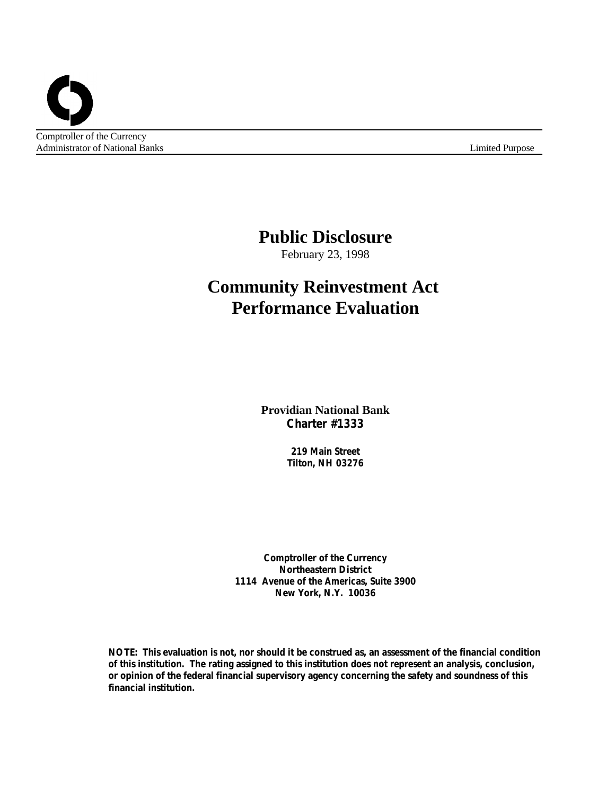Administrator of National Banks Limited Purpose

# **Public Disclosure**

February 23, 1998

# **Community Reinvestment Act Performance Evaluation**

**Providian National Bank Charter #1333**

> **219 Main Street Tilton, NH 03276**

**Comptroller of the Currency Northeastern District 1114 Avenue of the Americas, Suite 3900 New York, N.Y. 10036**

**NOTE: This evaluation is not, nor should it be construed as, an assessment of the financial condition of this institution. The rating assigned to this institution does not represent an analysis, conclusion, or opinion of the federal financial supervisory agency concerning the safety and soundness of this financial institution.**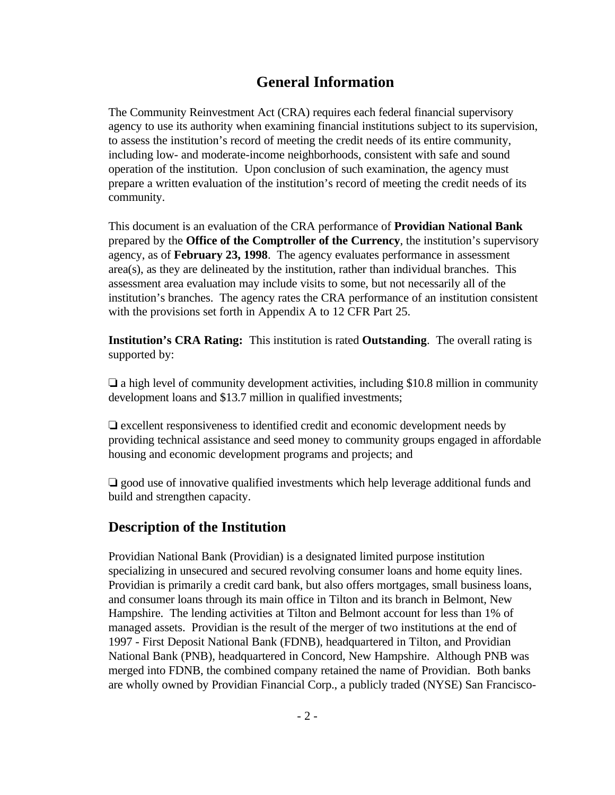## **General Information**

The Community Reinvestment Act (CRA) requires each federal financial supervisory agency to use its authority when examining financial institutions subject to its supervision, to assess the institution's record of meeting the credit needs of its entire community, including low- and moderate-income neighborhoods, consistent with safe and sound operation of the institution. Upon conclusion of such examination, the agency must prepare a written evaluation of the institution's record of meeting the credit needs of its community.

This document is an evaluation of the CRA performance of **Providian National Bank** prepared by the **Office of the Comptroller of the Currency**, the institution's supervisory agency, as of **February 23, 1998**. The agency evaluates performance in assessment area(s), as they are delineated by the institution, rather than individual branches. This assessment area evaluation may include visits to some, but not necessarily all of the institution's branches. The agency rates the CRA performance of an institution consistent with the provisions set forth in Appendix A to 12 CFR Part 25.

**Institution's CRA Rating:** This institution is rated **Outstanding**. The overall rating is supported by:

 $\Box$  a high level of community development activities, including \$10.8 million in community development loans and \$13.7 million in qualified investments;

 $\Box$  excellent responsiveness to identified credit and economic development needs by providing technical assistance and seed money to community groups engaged in affordable housing and economic development programs and projects; and

 $\Box$  good use of innovative qualified investments which help leverage additional funds and build and strengthen capacity.

## **Description of the Institution**

Providian National Bank (Providian) is a designated limited purpose institution specializing in unsecured and secured revolving consumer loans and home equity lines. Providian is primarily a credit card bank, but also offers mortgages, small business loans, and consumer loans through its main office in Tilton and its branch in Belmont, New Hampshire. The lending activities at Tilton and Belmont account for less than 1% of managed assets. Providian is the result of the merger of two institutions at the end of 1997 - First Deposit National Bank (FDNB), headquartered in Tilton, and Providian National Bank (PNB), headquartered in Concord, New Hampshire. Although PNB was merged into FDNB, the combined company retained the name of Providian. Both banks are wholly owned by Providian Financial Corp., a publicly traded (NYSE) San Francisco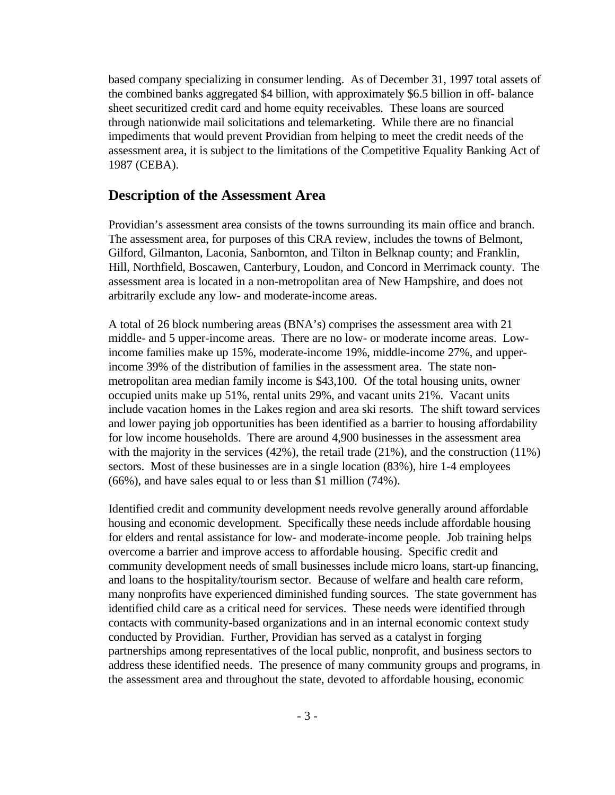based company specializing in consumer lending. As of December 31, 1997 total assets of the combined banks aggregated \$4 billion, with approximately \$6.5 billion in off- balance sheet securitized credit card and home equity receivables. These loans are sourced through nationwide mail solicitations and telemarketing. While there are no financial impediments that would prevent Providian from helping to meet the credit needs of the assessment area, it is subject to the limitations of the Competitive Equality Banking Act of 1987 (CEBA).

### **Description of the Assessment Area**

Providian's assessment area consists of the towns surrounding its main office and branch. The assessment area, for purposes of this CRA review, includes the towns of Belmont, Gilford, Gilmanton, Laconia, Sanbornton, and Tilton in Belknap county; and Franklin, Hill, Northfield, Boscawen, Canterbury, Loudon, and Concord in Merrimack county. The assessment area is located in a non-metropolitan area of New Hampshire, and does not arbitrarily exclude any low- and moderate-income areas.

A total of 26 block numbering areas (BNA's) comprises the assessment area with 21 middle- and 5 upper-income areas. There are no low- or moderate income areas. Lowincome families make up 15%, moderate-income 19%, middle-income 27%, and upperincome 39% of the distribution of families in the assessment area. The state nonmetropolitan area median family income is \$43,100. Of the total housing units, owner occupied units make up 51%, rental units 29%, and vacant units 21%. Vacant units include vacation homes in the Lakes region and area ski resorts. The shift toward services and lower paying job opportunities has been identified as a barrier to housing affordability for low income households. There are around 4,900 businesses in the assessment area with the majority in the services (42%), the retail trade (21%), and the construction (11%) sectors. Most of these businesses are in a single location (83%), hire 1-4 employees (66%), and have sales equal to or less than \$1 million (74%).

Identified credit and community development needs revolve generally around affordable housing and economic development. Specifically these needs include affordable housing for elders and rental assistance for low- and moderate-income people. Job training helps overcome a barrier and improve access to affordable housing. Specific credit and community development needs of small businesses include micro loans, start-up financing, and loans to the hospitality/tourism sector. Because of welfare and health care reform, many nonprofits have experienced diminished funding sources. The state government has identified child care as a critical need for services. These needs were identified through contacts with community-based organizations and in an internal economic context study conducted by Providian. Further, Providian has served as a catalyst in forging partnerships among representatives of the local public, nonprofit, and business sectors to address these identified needs. The presence of many community groups and programs, in the assessment area and throughout the state, devoted to affordable housing, economic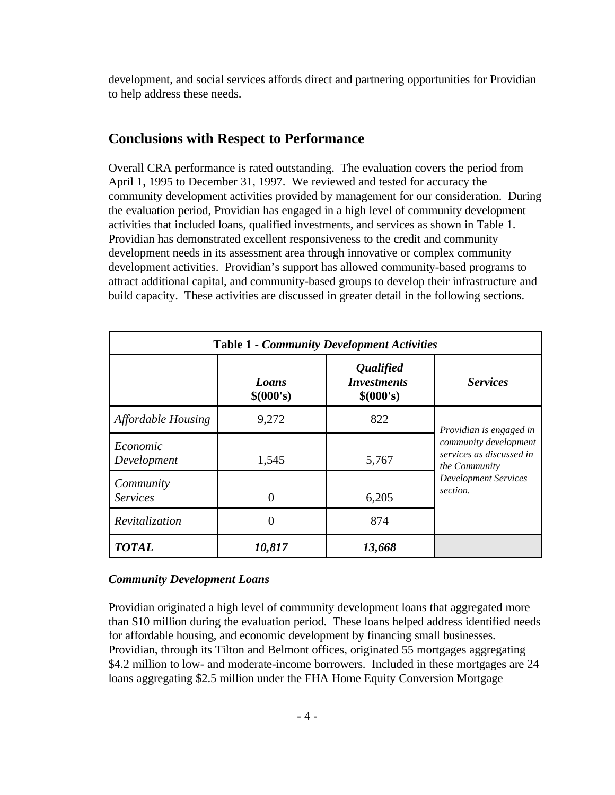development, and social services affords direct and partnering opportunities for Providian to help address these needs.

### **Conclusions with Respect to Performance**

Overall CRA performance is rated outstanding. The evaluation covers the period from April 1, 1995 to December 31, 1997. We reviewed and tested for accuracy the community development activities provided by management for our consideration. During the evaluation period, Providian has engaged in a high level of community development activities that included loans, qualified investments, and services as shown in Table 1. Providian has demonstrated excellent responsiveness to the credit and community development needs in its assessment area through innovative or complex community development activities. Providian's support has allowed community-based programs to attract additional capital, and community-based groups to develop their infrastructure and build capacity. These activities are discussed in greater detail in the following sections.

| <b>Table 1 - Community Development Activities</b> |                    |                                                            |                                                                           |  |  |  |
|---------------------------------------------------|--------------------|------------------------------------------------------------|---------------------------------------------------------------------------|--|--|--|
|                                                   | Loans<br>\$(000's) | <i><b>Qualified</b></i><br><b>Investments</b><br>\$(000's) | <b>Services</b>                                                           |  |  |  |
| <b>Affordable Housing</b>                         | 9,272              | 822                                                        | Providian is engaged in                                                   |  |  |  |
| Economic<br>Development                           | 1,545              | 5,767                                                      | community development<br>services as discussed in<br><i>the Community</i> |  |  |  |
| Community<br><b>Services</b>                      | 0                  | 6,205                                                      | <b>Development Services</b><br>section.                                   |  |  |  |
| Revitalization                                    | 0                  | 874                                                        |                                                                           |  |  |  |
| <b>TOTAL</b>                                      | 10,817             | 13,668                                                     |                                                                           |  |  |  |

#### *Community Development Loans*

Providian originated a high level of community development loans that aggregated more than \$10 million during the evaluation period. These loans helped address identified needs for affordable housing, and economic development by financing small businesses. Providian, through its Tilton and Belmont offices, originated 55 mortgages aggregating \$4.2 million to low- and moderate-income borrowers. Included in these mortgages are 24 loans aggregating \$2.5 million under the FHA Home Equity Conversion Mortgage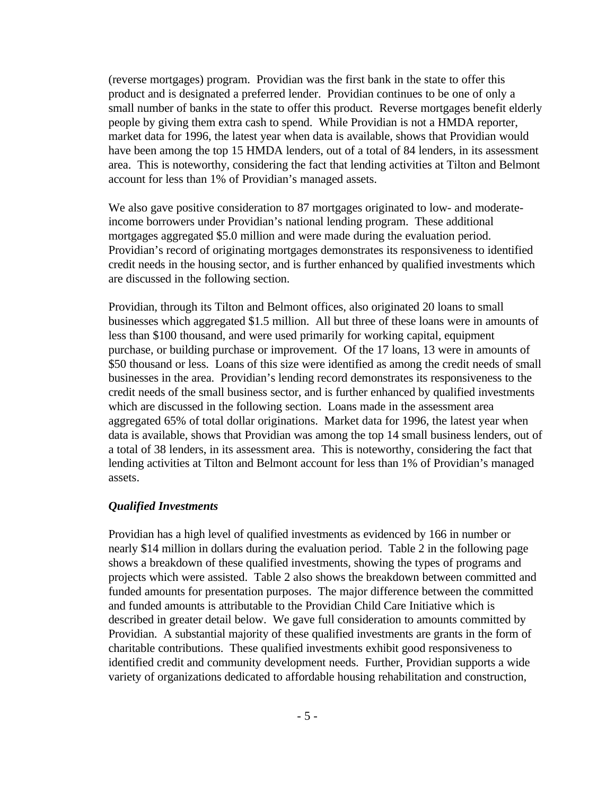(reverse mortgages) program. Providian was the first bank in the state to offer this product and is designated a preferred lender. Providian continues to be one of only a small number of banks in the state to offer this product. Reverse mortgages benefit elderly people by giving them extra cash to spend. While Providian is not a HMDA reporter, market data for 1996, the latest year when data is available, shows that Providian would have been among the top 15 HMDA lenders, out of a total of 84 lenders, in its assessment area. This is noteworthy, considering the fact that lending activities at Tilton and Belmont account for less than 1% of Providian's managed assets.

We also gave positive consideration to 87 mortgages originated to low- and moderateincome borrowers under Providian's national lending program. These additional mortgages aggregated \$5.0 million and were made during the evaluation period. Providian's record of originating mortgages demonstrates its responsiveness to identified credit needs in the housing sector, and is further enhanced by qualified investments which are discussed in the following section.

Providian, through its Tilton and Belmont offices, also originated 20 loans to small businesses which aggregated \$1.5 million. All but three of these loans were in amounts of less than \$100 thousand, and were used primarily for working capital, equipment purchase, or building purchase or improvement. Of the 17 loans, 13 were in amounts of \$50 thousand or less. Loans of this size were identified as among the credit needs of small businesses in the area. Providian's lending record demonstrates its responsiveness to the credit needs of the small business sector, and is further enhanced by qualified investments which are discussed in the following section. Loans made in the assessment area aggregated 65% of total dollar originations. Market data for 1996, the latest year when data is available, shows that Providian was among the top 14 small business lenders, out of a total of 38 lenders, in its assessment area. This is noteworthy, considering the fact that lending activities at Tilton and Belmont account for less than 1% of Providian's managed assets.

#### *Qualified Investments*

Providian has a high level of qualified investments as evidenced by 166 in number or nearly \$14 million in dollars during the evaluation period. Table 2 in the following page shows a breakdown of these qualified investments, showing the types of programs and projects which were assisted. Table 2 also shows the breakdown between committed and funded amounts for presentation purposes. The major difference between the committed and funded amounts is attributable to the Providian Child Care Initiative which is described in greater detail below. We gave full consideration to amounts committed by Providian. A substantial majority of these qualified investments are grants in the form of charitable contributions. These qualified investments exhibit good responsiveness to identified credit and community development needs. Further, Providian supports a wide variety of organizations dedicated to affordable housing rehabilitation and construction,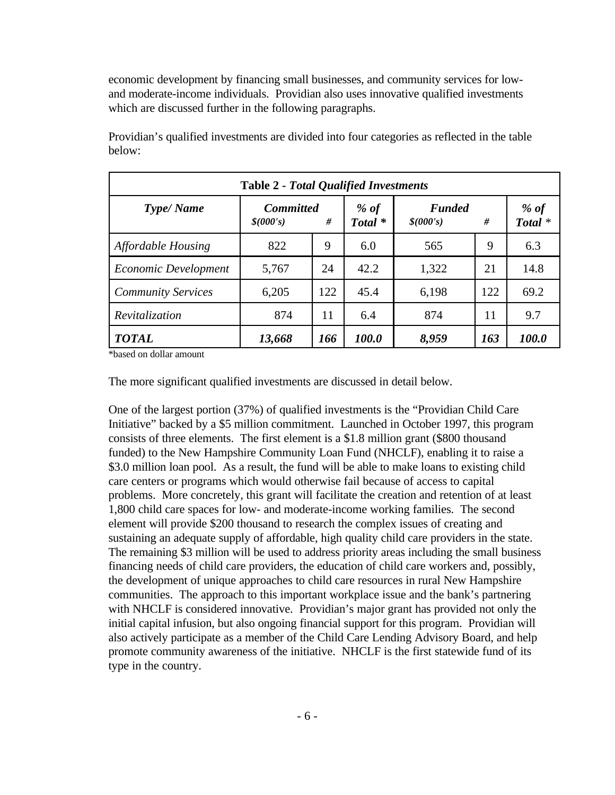economic development by financing small businesses, and community services for lowand moderate-income individuals. Providian also uses innovative qualified investments which are discussed further in the following paragraphs.

| <b>Table 2 - Total Qualified Investments</b> |                               |     |                            |                            |     |                 |  |  |
|----------------------------------------------|-------------------------------|-----|----------------------------|----------------------------|-----|-----------------|--|--|
| <b>Type/Name</b>                             | <b>Committed</b><br>\$(000's) | #   | % of<br>Total <sup>*</sup> | <b>Funded</b><br>\$(000's) | #   | % of<br>Total * |  |  |
| <b>Affordable Housing</b>                    | 822                           | 9   | 6.0                        | 565                        | 9   | 6.3             |  |  |
| Economic Development                         | 5,767                         | 24  | 42.2                       | 1,322                      | 21  | 14.8            |  |  |
| <b>Community Services</b>                    | 6,205                         | 122 | 45.4                       | 6,198                      | 122 | 69.2            |  |  |
| Revitalization                               | 874                           | 11  | 6.4                        | 874                        | 11  | 9.7             |  |  |
| <b>TOTAL</b>                                 | 13,668                        | 166 | 100.0                      | 8,959                      | 163 | 100.0           |  |  |

Providian's qualified investments are divided into four categories as reflected in the table below:

\*based on dollar amount

The more significant qualified investments are discussed in detail below.

One of the largest portion (37%) of qualified investments is the "Providian Child Care Initiative" backed by a \$5 million commitment. Launched in October 1997, this program consists of three elements. The first element is a \$1.8 million grant (\$800 thousand funded) to the New Hampshire Community Loan Fund (NHCLF), enabling it to raise a \$3.0 million loan pool. As a result, the fund will be able to make loans to existing child care centers or programs which would otherwise fail because of access to capital problems. More concretely, this grant will facilitate the creation and retention of at least 1,800 child care spaces for low- and moderate-income working families. The second element will provide \$200 thousand to research the complex issues of creating and sustaining an adequate supply of affordable, high quality child care providers in the state. The remaining \$3 million will be used to address priority areas including the small business financing needs of child care providers, the education of child care workers and, possibly, the development of unique approaches to child care resources in rural New Hampshire communities. The approach to this important workplace issue and the bank's partnering with NHCLF is considered innovative. Providian's major grant has provided not only the initial capital infusion, but also ongoing financial support for this program. Providian will also actively participate as a member of the Child Care Lending Advisory Board, and help promote community awareness of the initiative. NHCLF is the first statewide fund of its type in the country.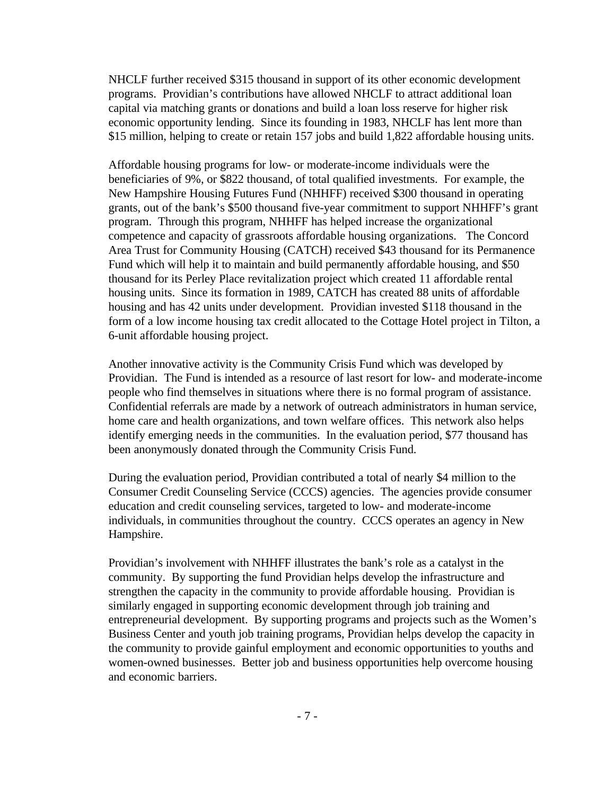NHCLF further received \$315 thousand in support of its other economic development programs. Providian's contributions have allowed NHCLF to attract additional loan capital via matching grants or donations and build a loan loss reserve for higher risk economic opportunity lending. Since its founding in 1983, NHCLF has lent more than \$15 million, helping to create or retain 157 jobs and build 1,822 affordable housing units.

Affordable housing programs for low- or moderate-income individuals were the beneficiaries of 9%, or \$822 thousand, of total qualified investments. For example, the New Hampshire Housing Futures Fund (NHHFF) received \$300 thousand in operating grants, out of the bank's \$500 thousand five-year commitment to support NHHFF's grant program. Through this program, NHHFF has helped increase the organizational competence and capacity of grassroots affordable housing organizations. The Concord Area Trust for Community Housing (CATCH) received \$43 thousand for its Permanence Fund which will help it to maintain and build permanently affordable housing, and \$50 thousand for its Perley Place revitalization project which created 11 affordable rental housing units. Since its formation in 1989, CATCH has created 88 units of affordable housing and has 42 units under development. Providian invested \$118 thousand in the form of a low income housing tax credit allocated to the Cottage Hotel project in Tilton, a 6-unit affordable housing project.

Another innovative activity is the Community Crisis Fund which was developed by Providian. The Fund is intended as a resource of last resort for low- and moderate-income people who find themselves in situations where there is no formal program of assistance. Confidential referrals are made by a network of outreach administrators in human service, home care and health organizations, and town welfare offices. This network also helps identify emerging needs in the communities. In the evaluation period, \$77 thousand has been anonymously donated through the Community Crisis Fund.

During the evaluation period, Providian contributed a total of nearly \$4 million to the Consumer Credit Counseling Service (CCCS) agencies. The agencies provide consumer education and credit counseling services, targeted to low- and moderate-income individuals, in communities throughout the country. CCCS operates an agency in New Hampshire.

Providian's involvement with NHHFF illustrates the bank's role as a catalyst in the community. By supporting the fund Providian helps develop the infrastructure and strengthen the capacity in the community to provide affordable housing. Providian is similarly engaged in supporting economic development through job training and entrepreneurial development. By supporting programs and projects such as the Women's Business Center and youth job training programs, Providian helps develop the capacity in the community to provide gainful employment and economic opportunities to youths and women-owned businesses. Better job and business opportunities help overcome housing and economic barriers.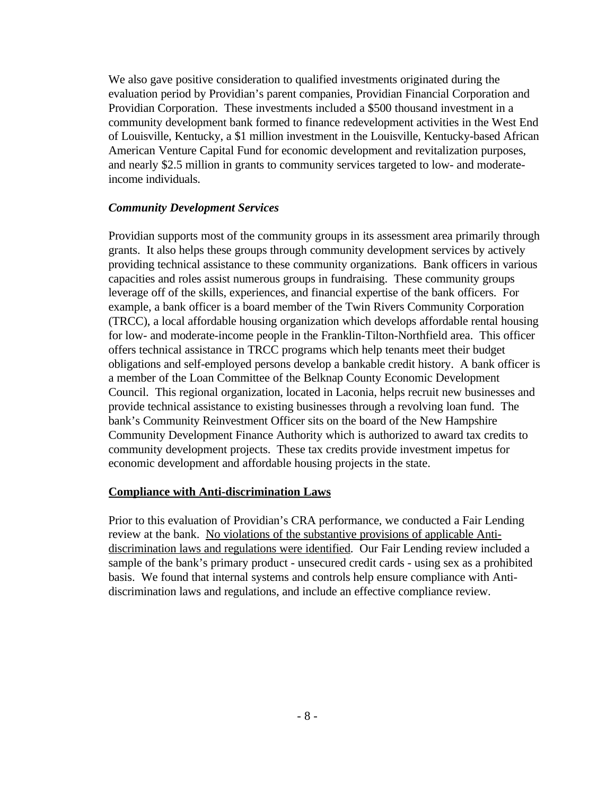We also gave positive consideration to qualified investments originated during the evaluation period by Providian's parent companies, Providian Financial Corporation and Providian Corporation. These investments included a \$500 thousand investment in a community development bank formed to finance redevelopment activities in the West End of Louisville, Kentucky, a \$1 million investment in the Louisville, Kentucky-based African American Venture Capital Fund for economic development and revitalization purposes, and nearly \$2.5 million in grants to community services targeted to low- and moderateincome individuals.

#### *Community Development Services*

Providian supports most of the community groups in its assessment area primarily through grants. It also helps these groups through community development services by actively providing technical assistance to these community organizations. Bank officers in various capacities and roles assist numerous groups in fundraising. These community groups leverage off of the skills, experiences, and financial expertise of the bank officers. For example, a bank officer is a board member of the Twin Rivers Community Corporation (TRCC), a local affordable housing organization which develops affordable rental housing for low- and moderate-income people in the Franklin-Tilton-Northfield area. This officer offers technical assistance in TRCC programs which help tenants meet their budget obligations and self-employed persons develop a bankable credit history. A bank officer is a member of the Loan Committee of the Belknap County Economic Development Council. This regional organization, located in Laconia, helps recruit new businesses and provide technical assistance to existing businesses through a revolving loan fund. The bank's Community Reinvestment Officer sits on the board of the New Hampshire Community Development Finance Authority which is authorized to award tax credits to community development projects. These tax credits provide investment impetus for economic development and affordable housing projects in the state.

#### **Compliance with Anti-discrimination Laws**

Prior to this evaluation of Providian's CRA performance, we conducted a Fair Lending review at the bank. No violations of the substantive provisions of applicable Antidiscrimination laws and regulations were identified. Our Fair Lending review included a sample of the bank's primary product - unsecured credit cards - using sex as a prohibited basis. We found that internal systems and controls help ensure compliance with Antidiscrimination laws and regulations, and include an effective compliance review.